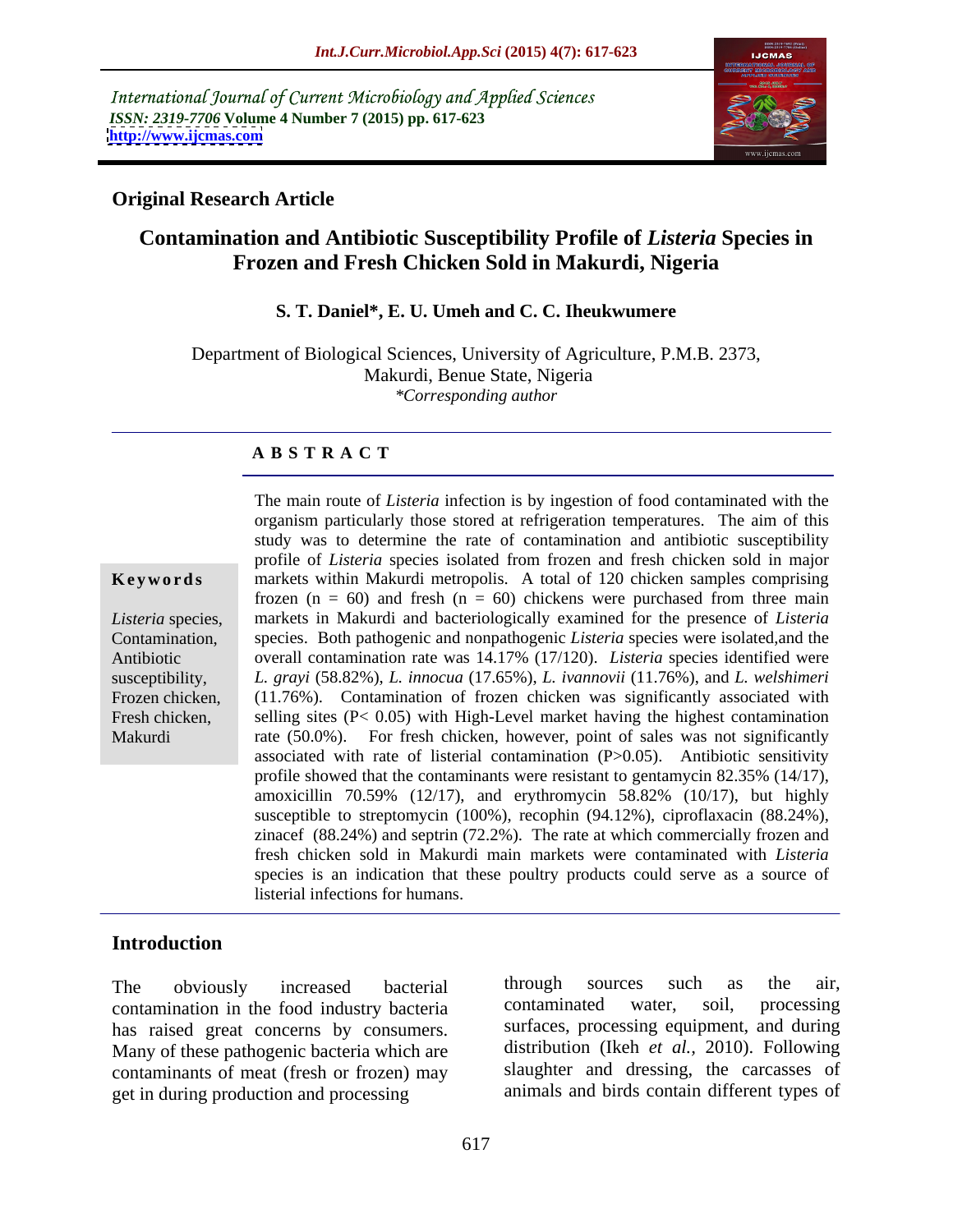International Journal of Current Microbiology and Applied Sciences *ISSN: 2319-7706* **Volume 4 Number 7 (2015) pp. 617-623 <http://www.ijcmas.com>**



## **Original Research Article**

## **Contamination and Antibiotic Susceptibility Profile of** *Listeria* **Species in Frozen and Fresh Chicken Sold in Makurdi, Nigeria**

### **S. T. Daniel\*, E. U. Umeh and C. C. Iheukwumere**

Department of Biological Sciences, University of Agriculture, P.M.B. 2373, Makurdi, Benue State, Nigeria *\*Corresponding author*

### **A B S T R A C T**

Makurdi

The main route of *Listeria* infection is by ingestion of food contaminated with the organism particularly those stored at refrigeration temperatures. The aim ofthis study was to determine the rate of contamination and antibiotic susceptibility profile of *Listeria* species isolated from frozen and fresh chicken sold in major **Keywords** markets within Makurdi metropolis. A total of 120 chicken samples comprising frozen ( $n = 60$ ) and fresh ( $n = 60$ ) chickens were purchased from three main Listeria species, narkets in Makurdi and bacteriologically examined for the presence of *Listeria* Contamination, species. Both pathogenic and nonpathogenic *Listeria* species were isolated, and the overall contamination rate was 14.17% (17/120). *Listeria* species identified were Antibiotic *L. grayi* (58.82%), *L. innocua* (17.65%), *L. ivannovii* (11.76%), and *L. welshimeri* susceptibility, Frozen chicken, (11.76%). Contamination of frozen chicken was significantly associated with Fresh chicken, selling sites (P< 0.05) with High-Level market having the highest contamination rate (50.0%). For fresh chicken, however, point of sales was not significantly associated with rate of listerial contamination (P>0.05). Antibiotic sensitivity profile showed that the contaminants were resistant to gentamycin 82.35% (14/17), amoxicillin 70.59% (12/17), and erythromycin 58.82% (10/17), but highly susceptible to streptomycin (100%), recophin (94.12%), ciproflaxacin (88.24%), zinacef (88.24%) and septrin (72.2%). The rate at which commercially frozen and fresh chicken sold in Makurdi main markets were contaminated with *Listeria* species is an indication that these poultry products could serve as a source of listerial infections for humans.

## **Introduction**

contamination in the food industry bacteria contaminated water, soil, processing has raised great concerns by consumers. Many of these pathogenic bacteria which are contaminants of meat (fresh or frozen) may get in during production and processing

The obviously increased bacterial through sources such as the air, through sources such as the air, contaminated water, soil, processing surfaces, processing equipment, and during distribution (Ikeh *et al.,* 2010). Following slaughter and dressing, the carcasses of animals and birds contain different types of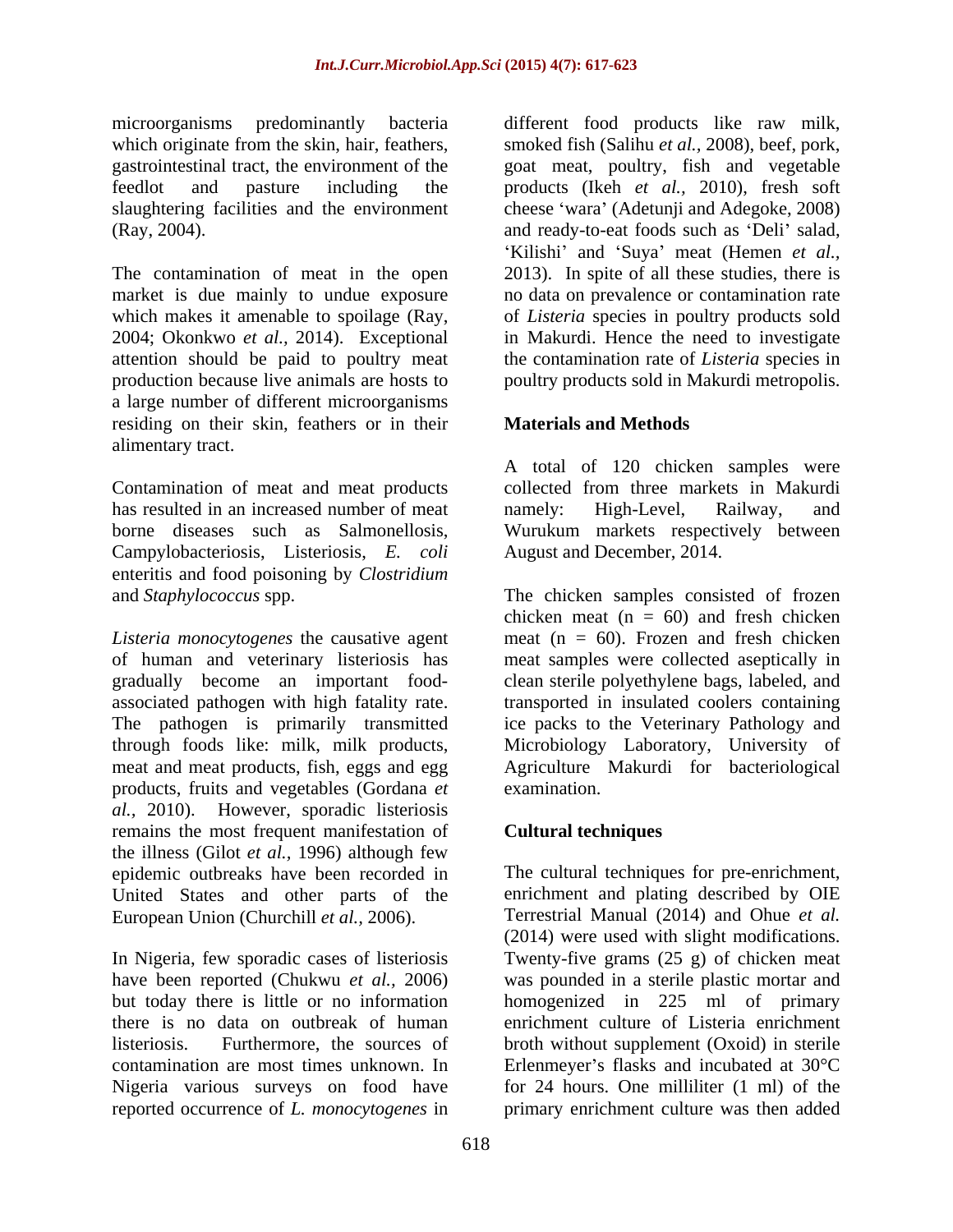The contamination of meat in the open 2004; Okonkwo *et al.,* 2014). Exceptional attention should be paid to poultry meat production because live animals are hosts to poultry products sold in Makurdi metropolis. a large number of different microorganisms residing on their skin, feathers or in their **Materials and Methods** alimentary tract.

Contamination of meat and meat products has resulted in an increased number of meat namely: High-Level. Railway, and Campylobacteriosis, Listeriosis, *E. coli* enteritis and food poisoning by *Clostridium*

*Listeria monocytogenes* the causative agent of human and veterinary listeriosis has meat samples were collected aseptically in gradually become an important food- clean sterile polyethylene bags, labeled, and associated pathogen with high fatality rate. transported in insulated coolers containing The pathogen is primarily transmitted through foods like: milk, milk products, Microbiology Laboratory, University of meat and meat products, fish, eggs and egg and Agriculture Makurdi for bacteriological products, fruits and vegetables (Gordana *et al.,* 2010). However, sporadic listeriosis remains the most frequent manifestation of the illness (Gilot *et al.,* 1996) although few epidemic outbreaks have been recorded in The cultural techniques for pre-enrichment, United States and other parts of the European Union (Churchill *et al.,* 2006).

Nigeria various surveys on food have

microorganisms predominantly bacteria different food products like raw milk, which originate from the skin, hair, feathers, smoked fish (Salihu *et al.*, 2008), beef, pork, gastrointestinal tract, the environment of the goat meat, poultry, fish and vegetable feedlot and pasture including the products (Ikeh *et al.,* 2010), fresh soft slaughtering facilities and the environment cheese 'wara' (Adetunji and Adegoke, 2008) (Ray, 2004). The and ready-to-eat foods such as 'Deli' salad, market is due mainly to undue exposure no data on prevalence or contamination rate which makes it amenable to spoilage (Ray, of *Listeria* species in poultry products sold Kilishi' and 'Suya' meat (Hemen *et al.,* 2013). In spite of all these studies, there is in Makurdi. Hence the need to investigate the contamination rate of *Listeria* species in

## **Materials and Methods**

borne diseases such as Salmonellosis, Wurukum markets respectively between A total of 120 chicken samples were collected from three markets in Makurdi namely: High-Level, Railway, and August and December, 2014.

and *Staphylococcus* spp. The chicken samples consisted of frozen chicken meat  $(n = 60)$  and fresh chicken meat  $(n = 60)$ . Frozen and fresh chicken ice packs to the Veterinary Pathology and examination.

# **Cultural techniques**

In Nigeria, few sporadic cases of listeriosis Twenty-five grams (25 g) of chicken meat have been reported (Chukwu *et al.,* 2006) was pounded in a sterile plastic mortar and but today there is little or no information homogenized in 225 ml of primary there is no data on outbreak of human enrichment culture of Listeria enrichment listeriosis. Furthermore, the sources of broth without supplement (Oxoid) in sterile contamination are most times unknown. In  $\qquad$  Erlenmeyer's flasks and incubated at 30 $^{\circ}$ C reported occurrence of *L. monocytogenes* in primary enrichment culture was then addedenrichment and plating described by OIE Terrestrial Manual (2014) and Ohue *et al.* (2014) were used with slight modifications. for 24 hours. One milliliter (1 ml) of the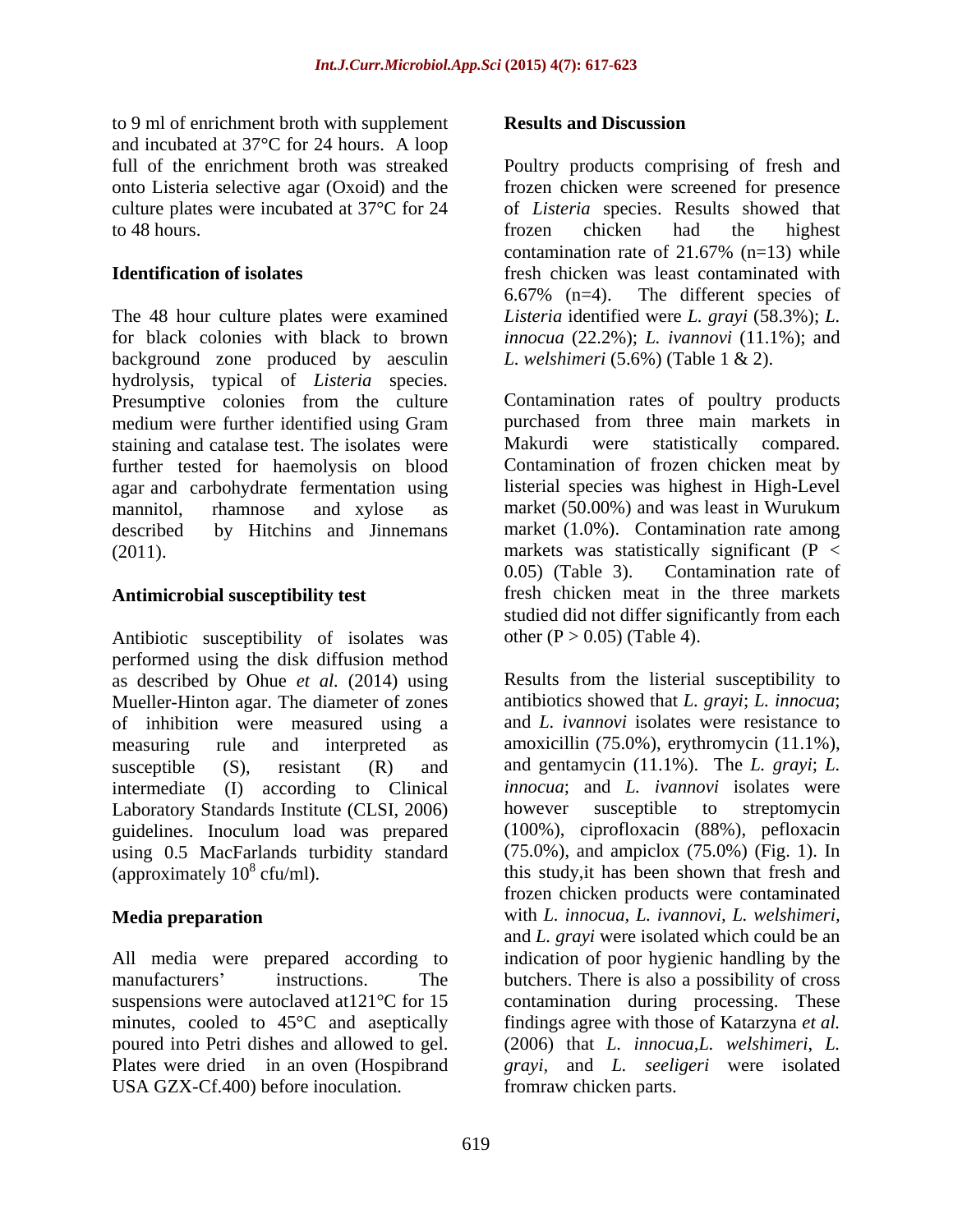to 9 ml of enrichment broth with supplement **Results and Discussion** and incubated at 37°C for 24 hours. A loop culture plates were incubated at 37°C for 24

The 48 hour culture plates were examined *Listeria* identified were *L. grayi* (58.3%); *L.*  for black colonies with black to brown *innocua* (22.2%); *L. ivannovi* (11.1%); and background zone produced by aesculin L. welshimeri  $(5.6\%)$  (Table 1 & 2). hydrolysis, typical of *Listeria* species*.* Presumptive colonies from the culture medium were further identified using Gram staining and catalase test. The isolates were Makurdi were statistically compared. further tested for haemolysis on blood agar and carbohydrate fermentation using mannitol, rhamnose and xylose as market (50.00%) and was least in Wurukum described by Hitchins and Jinnemans market (1.0%). Contamination rate among (2011). markets was statistically significant (P <

Antibiotic susceptibility of isolates was performed using the disk diffusion method as described by Ohue *et al.* (2014) using Mueller-Hinton agar. The diameter of zones of inhibition were measured using a measuring rule and interpreted as amoxicillin (75.0%), erythromycin (11.1%), susceptible (S), resistant (R) and and gentamycin (11.1%). The *L. grayi*; *L.*  intermediate (I) according to Clinical Laboratory Standards Institute (CLSI, 2006) however susceptible to streptomycin guidelines. Inoculum load was prepared using 0.5 MacFarlands turbidity standard<br>(approximately  $10^8$  cfu/ml). (approximately  $10^8$  cfu/ml). this study, it has been shown that fresh and

All media were prepared according to poured into Petri dishes and allowed to gel. USA GZX-Cf.400) before inoculation.

### **Results and Discussion**

full of the enrichment broth was streaked Poultry products comprising of fresh and onto Listeria selective agar (Oxoid) and the frozen chicken were screened for presence to 48 hours. The state of the state of the state of the state of the state of the state of the state of the state of the state of the state of the state of the state of the state of the state of the state of the state of t **Identification of isolates** *fresh chicken was least contaminated with* of *Listeria* species. Results showed that frozen chicken had the highest contamination rate of  $21.67\%$  (n=13) while 6.67% (n=4). The different species of *L. welshimeri* (5.6%) (Table 1 & 2).

**Antimicrobial susceptibility test** fresh chicken meat in the three markets Contamination rates of poultry products purchased from three main markets in Makurdi were statistically compared. Contamination of frozen chicken meat by listerial species was highest in High-Level 0.05) (Table 3). Contamination rate of studied did not differ significantly from each other ( $P > 0.05$ ) (Table 4).

**Media preparation** with *L. innocua, L. ivannovi, L. welshimeri,* manufacturers' instructions. The butchers. There is also a possibility of cross suspensions were autoclaved at 121 °C for 15 contamination during processing. These minutes, cooled to 45<sup>o</sup>C and aseptically findings agree with those of Katarzyna *et al.* Plates were dried in an oven (Hospibrand *grayi,* and *L. seeligeri* were isolated Results from the listerial susceptibility to antibiotics showed that *L. grayi*; *L. innocua*; and *L. ivannovi* isolates were resistance to *innocua*; and *L. ivannovi* isolates were however susceptible to streptomycin (100%), ciprofloxacin (88%), pefloxacin (75.0%), and ampiclox (75.0%) (Fig. 1). In frozen chicken products were contaminated and *L. grayi* were isolated which could be an indication of poor hygienic handling by the (2006) that *L. innocua,L. welshimeri*, *L.*  fromraw chicken parts.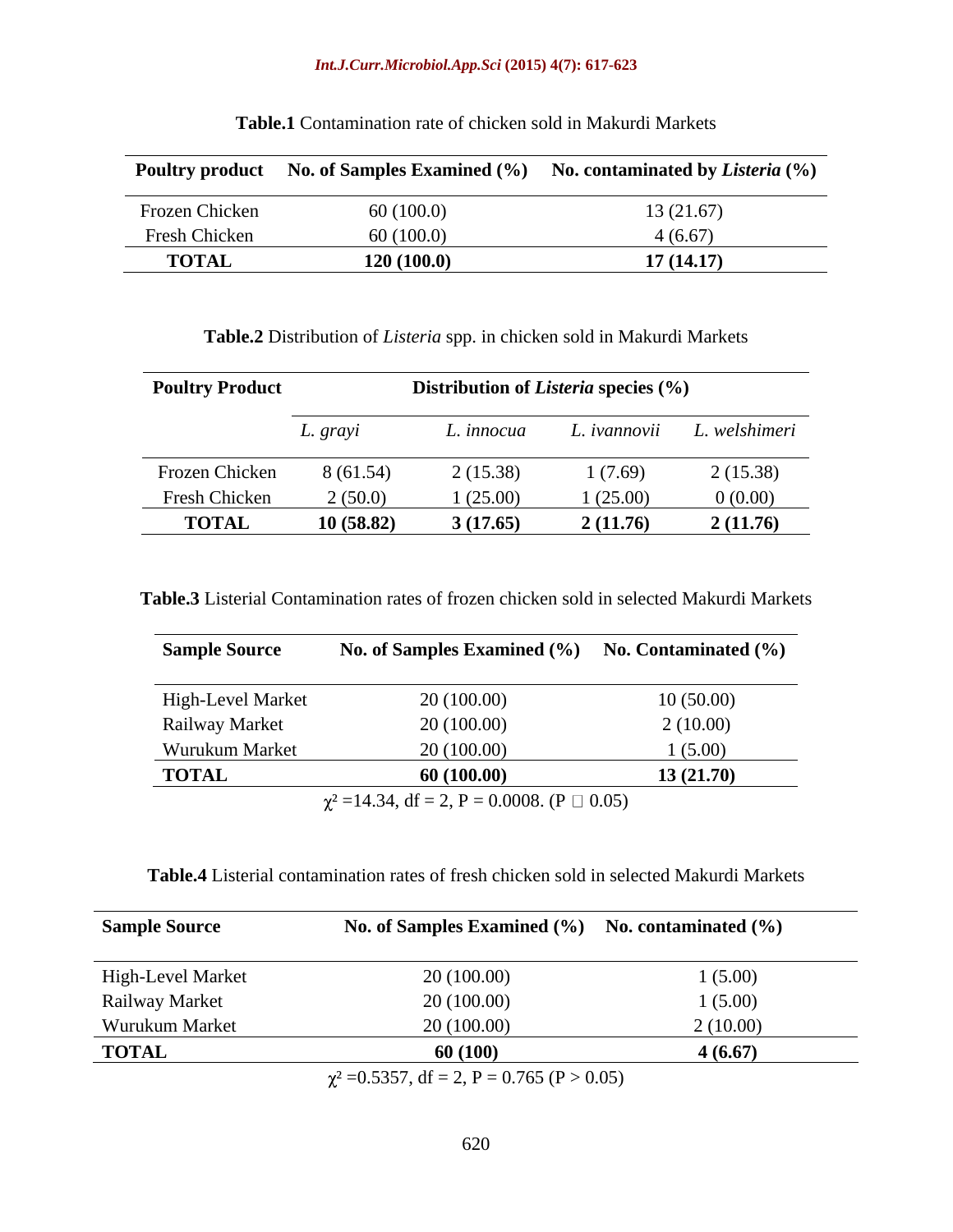| <b>Poultry product</b> | No. of Samples Examined (%) | No. contaminated by <i>Listeria</i> $(\%)$ |
|------------------------|-----------------------------|--------------------------------------------|
| Frozen Chicken         | 60(100.0)                   | 3(21.67)                                   |
| Fresh Chicken          | 60(100.0)                   | (6.67)                                     |
| <b>TOTAL</b>           | 120(100.0)                  | 17(14.17)                                  |

**Table.1** Contamination rate of chicken sold in Makurdi Markets

| <b>Poultry Product</b> | <b>Distribution of Listeria species (%)</b> |            |             |               |
|------------------------|---------------------------------------------|------------|-------------|---------------|
|                        | L. grayi                                    | L. innocua | . ivannovii | L. welshimeri |
| Frozen Chicken         | 8(61.54)                                    | 2(15.38)   | 1(7.69)     | 2(15.38)      |
| Fresh Chicken          | 2(50.0)                                     | (25.00)    | (25.00)     | 0(0.00)       |
| <b>TOTAL</b>           | 10(58.82)                                   | 3(17.65)   | 2(11.76)    | 2(11.76)      |

**Table.3** Listerial Contamination rates of frozen chicken sold in selected Makurdi Markets

| <b>Sample Source</b>  | No. of Samples Examined (%)                          | No. Contaminated (%) |  |
|-----------------------|------------------------------------------------------|----------------------|--|
|                       |                                                      |                      |  |
| High-Level Market     | 20(100.00)                                           | 10(50.00)            |  |
| <b>Railway Market</b> | 20(100.00)                                           | 2(10.00)             |  |
| Wurukum Market        | 20(100.00)                                           | (5.00)               |  |
| <b>TOTAL</b>          | 60 (100.00)                                          | 13(21.70)            |  |
|                       | $\chi^2$ =14.34, df = 2, P = 0.0008. (P $\Box$ 0.05) |                      |  |

**Table.4** Listerial contamination rates of fresh chicken sold in selected Makurdi Markets

| <b>Sample Source</b> | No. of Samples Examined (%) No. contaminated (%) |          |
|----------------------|--------------------------------------------------|----------|
| High-Level Market    | 20 (100.00)                                      | 1(5.00)  |
| Railway Market       | 20(100.00)                                       | 1(5.00)  |
| Wurukum Market       | 20(100.00)                                       | 2(10.00) |
| <b>TOTAL</b>         | 60(100)                                          | 4(6.67)  |
|                      | $\gamma^2$ –0.5357 df – 2 P – 0.765 (P $>$ 0.05) |          |

 $\chi^2$  =0.5357, dt = 2, P = 0.765 (P > 0.05)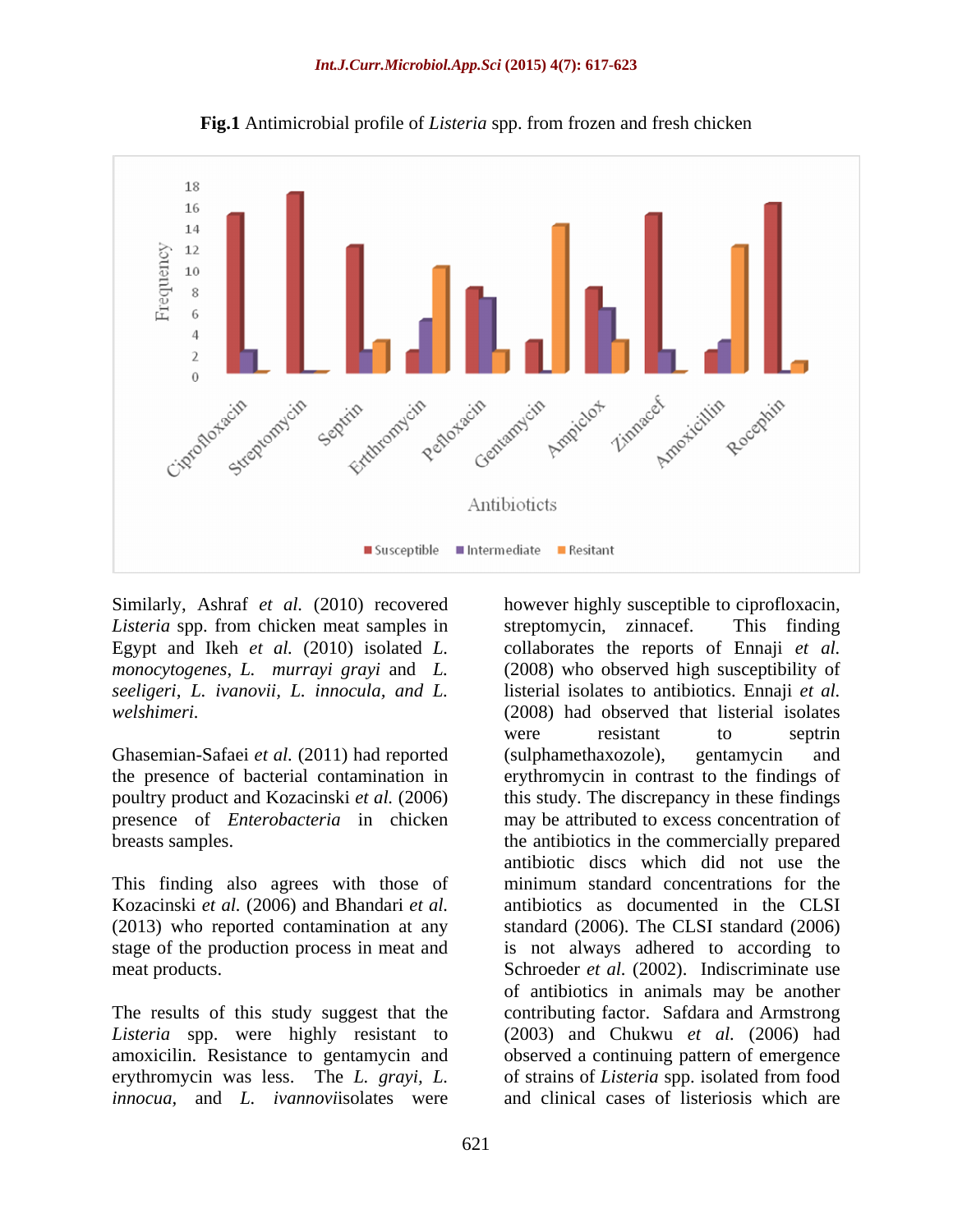

**Fig.1** Antimicrobial profile of *Listeria* spp. from frozen and fresh chicken

*Listeria* spp. from chicken meat samples in streptomycin, zinnacef. This finding

Ghasemian-Safaei *et al.* (2011) had reported (sulphamethaxozole), gentamycin and

This finding also agrees with those of minimum standard concentrations for the (2013) who reported contamination at any

The results of this study suggest that the *Listeria* spp. were highly resistant to *innocua,* and *L. ivannovi*isolates were and clinical cases of listeriosis which are

Similarly, Ashraf *et al.* (2010) recovered however highly susceptible to ciprofloxacin, Egypt and Ikeh *et al.* (2010) isolated *L.*  collaborates the reports of Ennaji *et al. monocytogenes*, *L. murrayi grayi* and *L.*  (2008) who observed high susceptibility of *seeligeri*, *L. ivanovii, L. innocula, and L.*  listerial isolates to antibiotics. Ennaji *et al. welshimeri.* (2008) had observed that listerial isolates the presence of bacterial contamination in erythromycin in contrast to the findings of poultry product and Kozacinski *et al.* (2006) this study. The discrepancy in these findings presence of *Enterobacteria* in chicken may be attributed to excess concentration of breasts samples. the antibiotics in the commercially prepared Kozacinski *et al.* (2006) and Bhandari *et al.* antibiotics as documented in the CLSI stage of the production process in meat and is not always adhered to according to meat products. Schroeder *et al.* (2002). Indiscriminate use amoxicilin. Resistance to gentamycin and observed a continuing pattern of emergence erythromycin was less. The *L. grayi, L.*  of strains of *Listeria* spp. isolated from food streptomycin, zinnacef. This finding were resistant to septrin (sulphamethaxozole), gentamycin and antibiotic discs which did not use the minimum standard concentrations for the standard (2006). The CLSI standard (2006) of antibiotics in animals may be another contributing factor. Safdara and Armstrong (2003) and Chukwu *et al.* (2006) had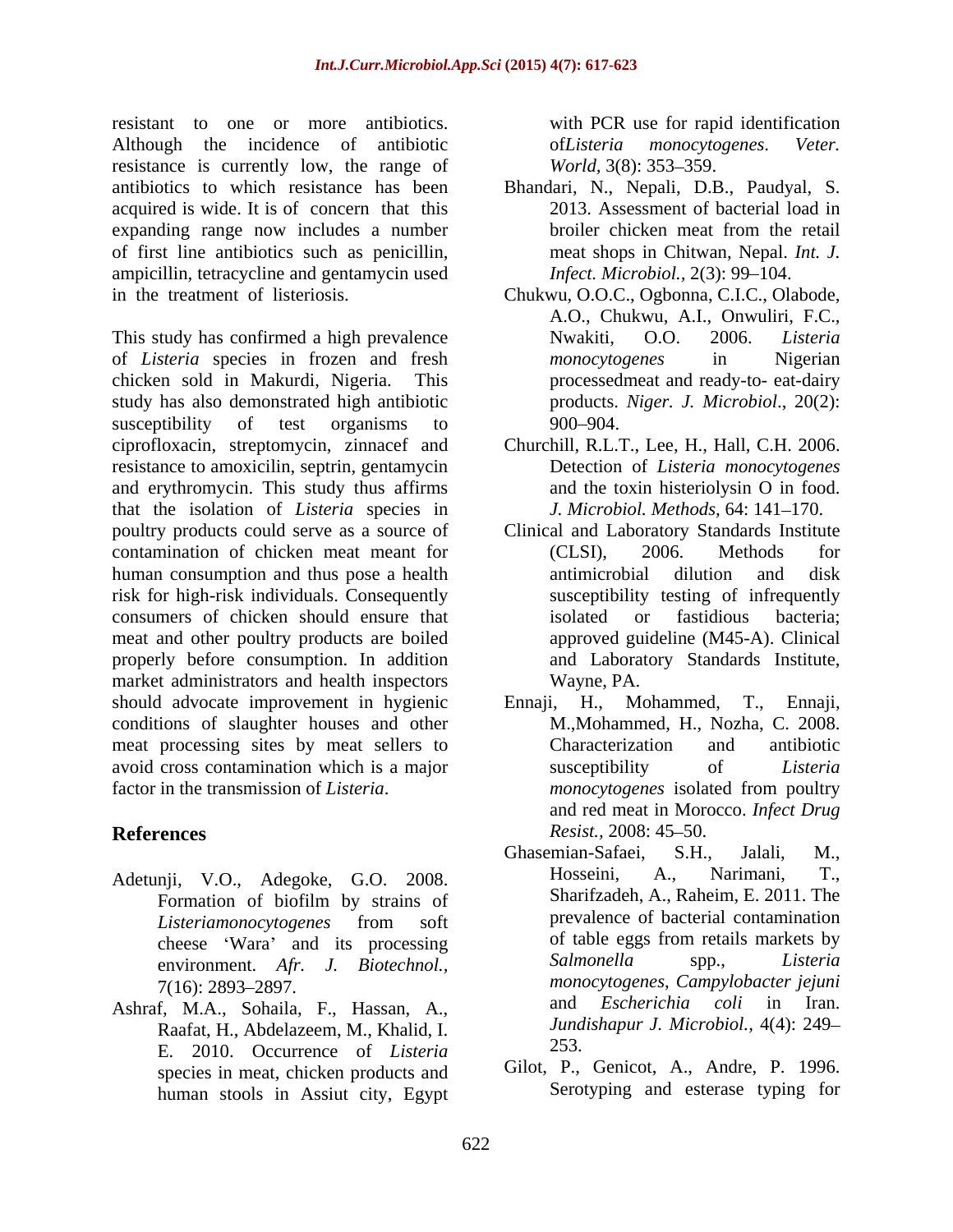resistant to one or more antibiotics. with PCR use for rapid identification Although the incidence of antibiotic bollisteria monocytogenes. Veter. resistance is currently low, the range of *World*, 3(8): 353–359. antibiotics to which resistance has been Bhandari, N., Nepali, D.B., Paudyal, S. acquired is wide. It is of concern that this 2013. Assessment of bacterial load in expanding range now includes a number of first line antibiotics such as penicillin, ampicillin, tetracycline and gentamycin used in the treatment of listeriosis. Chukwu, O.O.C., Ogbonna, C.I.C., Olabode,

This study has confirmed a high prevalence Nwakiti, O.O. 2006. Listeria of *Listeria* species in frozen and fresh chicken sold in Makurdi, Nigeria. This processedmeat and ready-to- eat-dairy study has also demonstrated high antibiotic susceptibility of test organisms to 900–904. ciprofloxacin, streptomycin, zinnacef and Churchill, R.L.T., Lee, H., Hall, C.H. 2006. resistance to amoxicilin, septrin, gentamycin and erythromycin. This study thus affirms that the isolation of *Listeria* species in poultry products could serve as a source of Clinical and Laboratory Standards Institute contamination of chicken meat meant for (CLSI), 2006. Methods for human consumption and thus pose a health **and** and a disk risk for high-risk individuals. Consequently consumers of chicken should ensure that isolated or fastidious bacteria; meat and other poultry products are boiled properly before consumption. In addition market administrators and health inspectors Wayne, PA. should advocate improvement in hygienic Ennaii, H., Mohammed, T., Ennaii, conditions of slaughter houses and other meat processing sites by meat sellers to Characterization and antibiotic avoid cross contamination which is a major<br>
factor in the transmission of *Listeria*.<br> *monocytogenes* isolated from poultry

- environment. *Afr. J. Biotechnol.,*
- Raafat, H., Abdelazeem, M., Khalid, I. *Jund*<br>E 2010, Occurrence of Listeria 253. E. 2010. Occurrence of *Listeria* species in meat, chicken products and human stools in Assiut city, Egypt

of*Listeria monocytogenes*. *Veter. World,* 3(8): 353–359.

- Bhandari, N., Nepali, D.B., Paudyal, S.<br>2013. Assessment of bacterial load in broiler chicken meat from the retail meat shops in Chitwan, Nepal. *Int.J. Infect. Microbiol., 2(3): 99-104.*
- A.O., Chukwu, A.I., Onwuliri, F.C., Nwakiti, O.O. 2006. *Listeria monocytogenes* in Nigerian products. *Niger. J. Microbiol*., 20(2): 900 904.
- Detection of *Listeria monocytogenes* and the toxin histeriolysin O in food. *J. Microbiol. Methods, 64:* 141-170.
- (CLSI), 2006. Methods for antimicrobial dilution and disk susceptibility testing of infrequently isolated or fastidious bacteria; approved guideline (M45-A). Clinical and Laboratory Standards Institute, Wayne, PA.
- *monocytogenes* isolated from poultry **References** Resist., 2008: 45–50. Ennaji, H., Mohammed, M.,Mohammed, H., Nozha, C. 2008. Characterization and antibiotic susceptibility of *Listeria monocytogenes* isolated from poultry and red meat in Morocco. *Infect Drug Resist.,* 2008: 45–50.
- Adetunji, V.O., Adegoke, G.O. 2008. Hosseini, A., Narimani, T., Formation of biofilm by strains of Sharitzaden, A., Raheim, E. 2011. The *Listeriamonocytogenes* from soft cheese 'Wara' and its processing of table eggs from retails markets by<br>environment  $\begin{array}{ccc} 4fr & I & Biotechnol & Salmonella & spp., & Listeria \end{array}$ 7(16): 2893 2897. *monocytogenes*, *Campylobacter jejuni* Ashraf, M.A., Sohaila, F., Hassan, A., and Escherichia coli in Iran. Ghasemian-Safaei, S.H., Jalali, M., Hosseini, A., Narimani, T., Sharifzadeh, A., Raheim, E. 2011. The prevalence of bacterial contamination of table eggs from retails markets by *Salmonella* spp., *Listeria* and *Escherichia coli* in *Jundishapur J. Microbiol.,* 4(4): 249 253.
	- Gilot, P., Genicot, A., Andre, P. 1996. Serotyping and esterase typing for